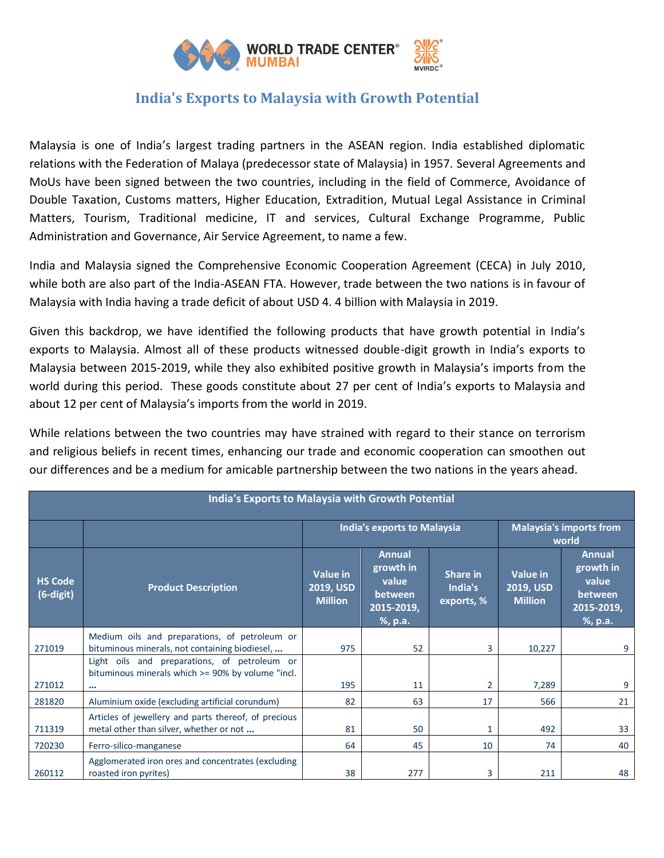

## **India's Exports to Malaysia with Growth Potential**

Malaysia is one of India's largest trading partners in the ASEAN region. India established diplomatic relations with the Federation of Malaya (predecessor state of Malaysia) in 1957. Several Agreements and MoUs have been signed between the two countries, including in the field of Commerce, Avoidance of Double Taxation, Customs matters, Higher Education, Extradition, Mutual Legal Assistance in Criminal Matters, Tourism, Traditional medicine, IT and services, Cultural Exchange Programme, Public Administration and Governance, Air Service Agreement, to name a few.

India and Malaysia signed the Comprehensive Economic Cooperation Agreement (CECA) in July 2010, while both are also part of the India-ASEAN FTA. However, trade between the two nations is in favour of Malaysia with India having a trade deficit of about USD 4. 4 billion with Malaysia in 2019.

Given this backdrop, we have identified the following products that have growth potential in India's exports to Malaysia. Almost all of these products witnessed double-digit growth in India's exports to Malaysia between 2015-2019, while they also exhibited positive growth in Malaysia's imports from the world during this period. These goods constitute about 27 per cent of India's exports to Malaysia and about 12 per cent of Malaysia's imports from the world in 2019.

While relations between the two countries may have strained with regard to their stance on terrorism and religious beliefs in recent times, enhancing our trade and economic cooperation can smoothen out our differences and be a medium for amicable partnership between the two nations in the years ahead.

| India's Exports to Malaysia with Growth Potential |                                                                                                               |                                                |                                                                         |                                   |                                         |                                                                         |  |  |  |
|---------------------------------------------------|---------------------------------------------------------------------------------------------------------------|------------------------------------------------|-------------------------------------------------------------------------|-----------------------------------|-----------------------------------------|-------------------------------------------------------------------------|--|--|--|
|                                                   |                                                                                                               | <b>India's exports to Malaysia</b>             |                                                                         |                                   | <b>Malaysia's imports from</b><br>world |                                                                         |  |  |  |
| <b>HS Code</b><br>(6-digit)                       | <b>Product Description</b>                                                                                    | <b>Value</b> in<br>2019, USD<br><b>Million</b> | <b>Annual</b><br>growth in<br>value<br>between<br>2015-2019,<br>%, p.a. | Share in<br>India's<br>exports, % | Value in<br>2019, USD<br><b>Million</b> | <b>Annual</b><br>growth in<br>value<br>between<br>2015-2019,<br>%, p.a. |  |  |  |
| 271019                                            | Medium oils and preparations, of petroleum or<br>bituminous minerals, not containing biodiesel,               | 975                                            | 52                                                                      | 3                                 | 10,227                                  | 9                                                                       |  |  |  |
| 271012                                            | Light oils and preparations, of petroleum or<br>bituminous minerals which >= 90% by volume "incl.<br>$\cdots$ | 195                                            | 11                                                                      | $\overline{2}$                    | 7,289                                   | 9                                                                       |  |  |  |
| 281820                                            | Aluminium oxide (excluding artificial corundum)                                                               | 82                                             | 63                                                                      | 17                                | 566                                     | 21                                                                      |  |  |  |
| 711319                                            | Articles of jewellery and parts thereof, of precious<br>metal other than silver, whether or not               | 81                                             | 50                                                                      | 1                                 | 492                                     | 33                                                                      |  |  |  |
| 720230                                            | Ferro-silico-manganese                                                                                        | 64                                             | 45                                                                      | 10                                | 74                                      | 40                                                                      |  |  |  |
| 260112                                            | Agglomerated iron ores and concentrates (excluding<br>roasted iron pyrites)                                   | 38                                             | 277                                                                     | 3                                 | 211                                     | 48                                                                      |  |  |  |